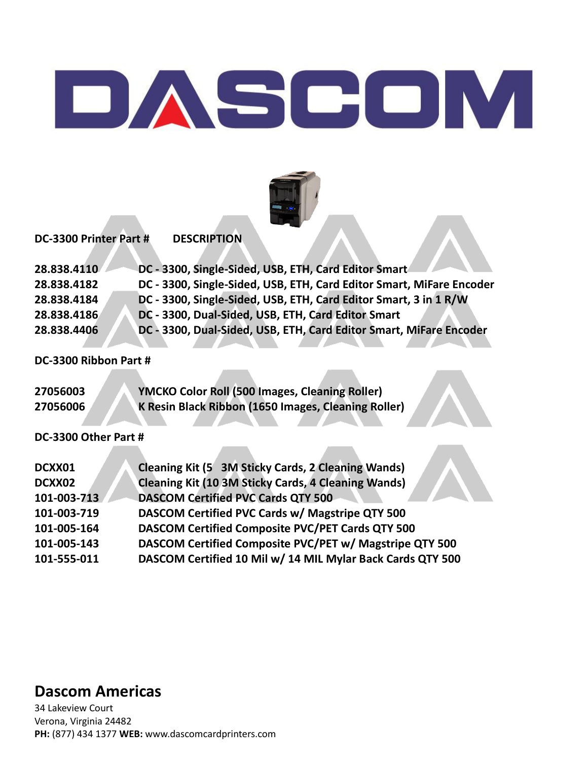# DASCOM



**DC-3300 Printer Part # DESCRIPTION** 

| 28.838.4110 | DC - 3300, Single-Sided, USB, ETH, Card Editor Smart                 |
|-------------|----------------------------------------------------------------------|
| 28.838.4182 | DC - 3300, Single-Sided, USB, ETH, Card Editor Smart, MiFare Encoder |
| 28.838.4184 | DC - 3300, Single-Sided, USB, ETH, Card Editor Smart, 3 in 1 R/W     |
| 28.838.4186 | DC - 3300, Dual-Sided, USB, ETH, Card Editor Smart                   |
| 28.838.4406 | DC - 3300, Dual-Sided, USB, ETH, Card Editor Smart, MiFare Encoder   |
|             |                                                                      |

**DC-3300 Ribbon Part #**

Λ

| 27056003 | YMCKO Color Roll (500 Images, Cleaning Roller)      |
|----------|-----------------------------------------------------|
| 27056006 | K Resin Black Ribbon (1650 Images, Cleaning Roller) |
|          |                                                     |

### **DC-3300 Other Part #**

| DCXX01      | <b>Cleaning Kit (5 3M Sticky Cards, 2 Cleaning Wands)</b>  |
|-------------|------------------------------------------------------------|
| DCXX02      | <b>Cleaning Kit (10 3M Sticky Cards, 4 Cleaning Wands)</b> |
| 101-003-713 | <b>DASCOM Certified PVC Cards QTY 500</b>                  |
| 101-003-719 | DASCOM Certified PVC Cards w/ Magstripe QTY 500            |
| 101-005-164 | DASCOM Certified Composite PVC/PET Cards QTY 500           |
| 101-005-143 | DASCOM Certified Composite PVC/PET w/ Magstripe QTY 500    |
| 101-555-011 | DASCOM Certified 10 Mil w/ 14 MIL Mylar Back Cards QTY 500 |

## **Dascom Americas**

34 Lakeview Court Verona, Virginia 24482 **PH:** (877) 434 1377 **WEB:** www.dascomcardprinters.com